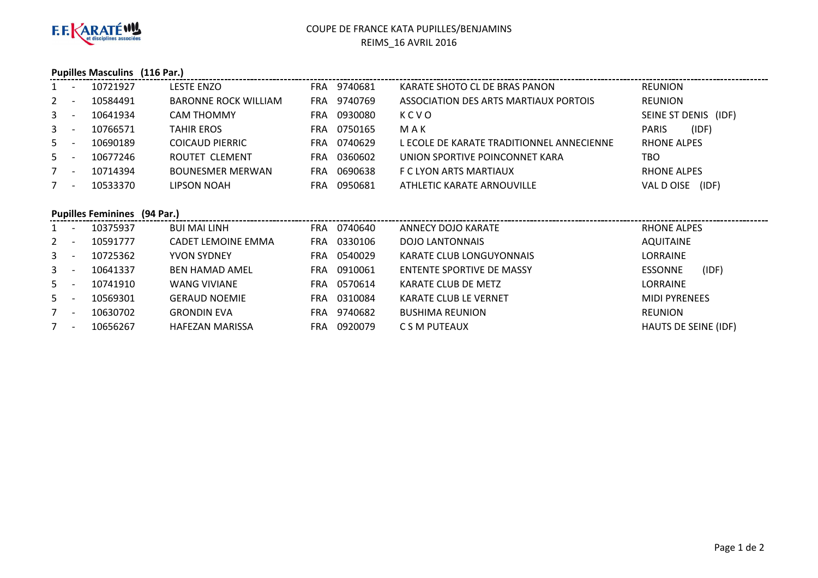

# COUPE DE FRANCE KATA PUPILLES/BENJAMINSREIMS\_16 AVRIL 2016

### **Pupilles Masculins (116 Par.)**

| $1 -$   | 10721927 | LESTE ENZO                  |            | FRA 9740681 | KARATE SHOTO CL DE BRAS PANON             | <b>REUNION</b>        |
|---------|----------|-----------------------------|------------|-------------|-------------------------------------------|-----------------------|
| $2 -$   | 10584491 | <b>BARONNE ROCK WILLIAM</b> |            | FRA 9740769 | ASSOCIATION DES ARTS MARTIAUX PORTOIS     | <b>REUNION</b>        |
| $3 - 1$ | 10641934 | <b>CAM THOMMY</b>           | FRA.       | 0930080     | KCVO                                      | SEINE ST DENIS (IDF)  |
| $3 - 1$ | 10766571 | <b>TAHIR EROS</b>           | FRA.       | 0750165     | MAK                                       | (IDF)<br><b>PARIS</b> |
| $5 -$   | 10690189 | <b>COICAUD PIERRIC</b>      | FRA        | 0740629     | L ECOLE DE KARATE TRADITIONNEL ANNECIENNE | <b>RHONE ALPES</b>    |
| $5 -$   | 10677246 | <b>ROUTET CLEMENT</b>       | <b>FRA</b> | 0360602     | UNION SPORTIVE POINCONNET KARA            | TBO                   |
| $7 -$   | 10714394 | <b>BOUNESMER MERWAN</b>     | <b>FRA</b> | 0690638     | F C LYON ARTS MARTIAUX                    | <b>RHONE ALPES</b>    |
| $7 -$   | 10533370 | LIPSON NOAH                 | <b>FRA</b> | 0950681     | ATHLETIC KARATE ARNOUVILLE                | (IDF)<br>VAL D OISE   |
|         |          |                             |            |             |                                           |                       |

## **Pupilles Feminines (94 Par.)**

|         | $\overline{\phantom{a}}$ | 10375937 | BUI MAI LINH              | FRA | 0740640 | ANNECY DOJO KARATE           | <b>RHONE ALPES</b>      |
|---------|--------------------------|----------|---------------------------|-----|---------|------------------------------|-------------------------|
| $2 -$   |                          | 10591777 | <b>CADET LEMOINE EMMA</b> | FRA | 0330106 | <b>DOJO LANTONNAIS</b>       | <b>AQUITAINE</b>        |
| $3 - 1$ |                          | 10725362 | YVON SYDNEY               | FRA | 0540029 | KARATE CLUB LONGUYONNAIS     | LORRAINE                |
| $3 - 1$ |                          | 10641337 | <b>BEN HAMAD AMEL</b>     | FRA | 0910061 | ENTENTE SPORTIVE DE MASSY    | (IDF)<br><b>ESSONNE</b> |
| $5 -$   |                          | 10741910 | <b>WANG VIVIANE</b>       | FRA | 0570614 | KARATE CLUB DE METZ          | LORRAINE                |
| $5 -$   |                          | 10569301 | <b>GERAUD NOEMIE</b>      | FRA | 0310084 | <b>KARATE CLUB LE VERNET</b> | <b>MIDI PYRENEES</b>    |
| 7       | $\overline{\phantom{0}}$ | 10630702 | <b>GRONDIN EVA</b>        | FRA | 9740682 | <b>BUSHIMA REUNION</b>       | <b>REUNION</b>          |
|         | $\overline{\phantom{0}}$ | 10656267 | <b>HAFEZAN MARISSA</b>    | FRA | 0920079 | C S M PUTEAUX                | HAUTS DE SEINE (IDF)    |